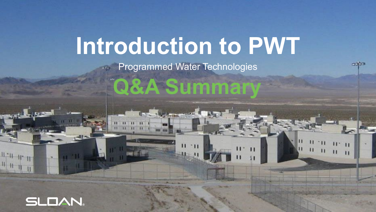# **Introduction to PWT**

Programmed Water Technologies



 $\mathbf{H}$ 

 $^{\circ}$ H

П

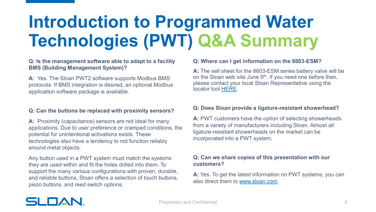## **Introduction to Programmed Water Technologies (PWT) Q&A Summary**

#### **Q: Is the management software able to adapt to a facility BMS (Building Management System)?**

**A:** Yes. The Sloan PWT2 software supports Modbus BMS protocols. If BMS integration is desired, an optional Modbus application software package is available.

#### **Q: Can the buttons be replaced with proximity sensors?**

**A:** Proximity (capacitance) sensors are not ideal for many applications. Due to user preference or cramped conditions, the potential for unintentional activations exists. These technologies also have a tendency to not function reliably around metal objects.

Any button used in a PWT system must match the systems they are used within and fit the holes drilled into them. To support the many various configurations with proven, durable, and reliable buttons, Sloan offers a selection of touch buttons, piezo buttons, and reed switch options.

#### **Q: Where can I get information on the 8603-ESM?**

**A:** The sell sheet for the 8603-ESM series battery valve will be on the Sloan web site June  $9<sup>th</sup>$ . If you need one before then, please contact your local Sloan Representative using the locator tool [HERE](https://www.sloan.com/company/support/where-to-buy).

#### **Q: Does Sloan provide a ligature-resistant showerhead?**

**A:** PWT customers have the option of selecting showerheads from a variety of manufacturers including Sloan. Almost all ligature-resistant showerheads on the market can be incorporated into a PWT system.

#### **Q: Can we share copies of this presentation with our customers?**

**A:** Yes. To get the latest information on PWT systems, you can also direct them to [www.sloan.com](http://www.sloan.com/).

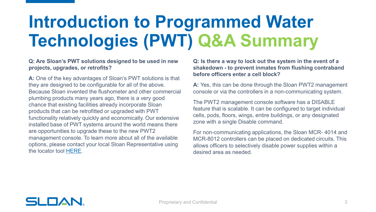## **Introduction to Programmed Water Technologies (PWT) Q&A Summary**

#### **Q: Are Sloan's PWT solutions designed to be used in new projects, upgrades, or retrofits?**

**A:** One of the key advantages of Sloan's PWT solutions is that they are designed to be configurable for all of the above. Because Sloan invented the flushometer and other commercial plumbing products many years ago, there is a very good chance that existing facilities already incorporate Sloan products that can be retrofitted or upgraded with PWT functionality relatively quickly and economically. Our extensive installed base of PWT systems around the world means there are opportunities to upgrade these to the new PWT2 management console. To learn more about all of the available options, please contact your local Sloan Representative using the locator tool [HERE](https://www.sloan.com/company/support/where-to-buy).

**Q: Is there a way to lock out the system in the event of a shakedown - to prevent inmates from flushing contraband before officers enter a cell block?**

**A:** Yes, this can be done through the Sloan PWT2 management console or via the controllers in a non-communicating system.

The PWT2 management console software has a DISABLE feature that is scalable. It can be configured to target individual cells, pods, floors, wings, entire buildings, or any designated zone with a single Disable command.

For non-communicating applications, the Sloan MCR- 4014 and MCR-8012 controllers can be placed on dedicated circuits. This allows officers to selectively disable power supplies within a desired area as needed.

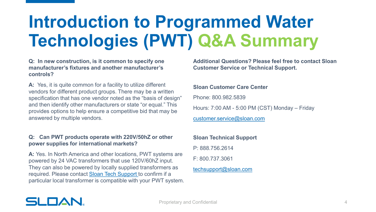## **Introduction to Programmed Water Technologies (PWT) Q&A Summary**

**Q: In new construction, is it common to specify one manufacturer's fixtures and another manufacturer's controls?** 

**A:** Yes, it is quite common for a facility to utilize different vendors for different product groups. There may be a written specification that has one vendor noted as the "basis of design" and then identify other manufacturers or state "or equal." This provides options to help ensure a competitive bid that may be answered by multiple vendors.

#### **Q: Can PWT products operate with 220V/50hZ or other power supplies for international markets?**

**A:** Yes. In North America and other locations, PWT systems are powered by 24 VAC transformers that use 120V/60hZ input. They can also be powered by locally supplied transformers as required. Please contact [Sloan Tech Support](mailto:techsupport@sloan.com) to confirm if a particular local transformer is compatible with your PWT system. **Additional Questions? Please feel free to contact Sloan Customer Service or Technical Support.**

#### **Sloan Customer Care Center**

Phone: 800.982.5839

Hours: 7:00 AM - 5:00 PM (CST) Monday – Friday

[customer.service@sloan.com](mailto:customer.service@sloan.com)

### **Sloan Technical Support**

P: 888.756.2614

F: 800.737.3061

#### [techsupport@sloan.com](mailto:techsupport@sloan.com)